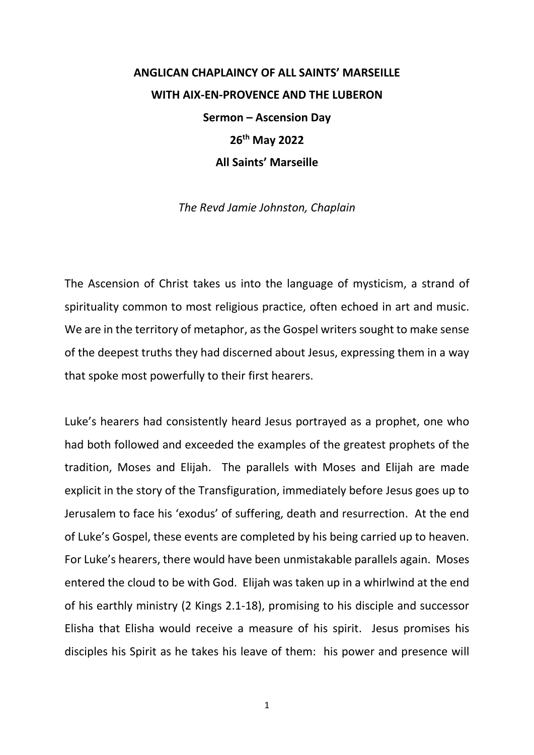## **ANGLICAN CHAPLAINCY OF ALL SAINTS' MARSEILLE WITH AIX-EN-PROVENCE AND THE LUBERON Sermon – Ascension Day 26th May 2022 All Saints' Marseille**

*The Revd Jamie Johnston, Chaplain*

The Ascension of Christ takes us into the language of mysticism, a strand of spirituality common to most religious practice, often echoed in art and music. We are in the territory of metaphor, as the Gospel writers sought to make sense of the deepest truths they had discerned about Jesus, expressing them in a way that spoke most powerfully to their first hearers.

Luke's hearers had consistently heard Jesus portrayed as a prophet, one who had both followed and exceeded the examples of the greatest prophets of the tradition, Moses and Elijah. The parallels with Moses and Elijah are made explicit in the story of the Transfiguration, immediately before Jesus goes up to Jerusalem to face his 'exodus' of suffering, death and resurrection. At the end of Luke's Gospel, these events are completed by his being carried up to heaven. For Luke's hearers, there would have been unmistakable parallels again. Moses entered the cloud to be with God. Elijah was taken up in a whirlwind at the end of his earthly ministry (2 Kings 2.1-18), promising to his disciple and successor Elisha that Elisha would receive a measure of his spirit. Jesus promises his disciples his Spirit as he takes his leave of them: his power and presence will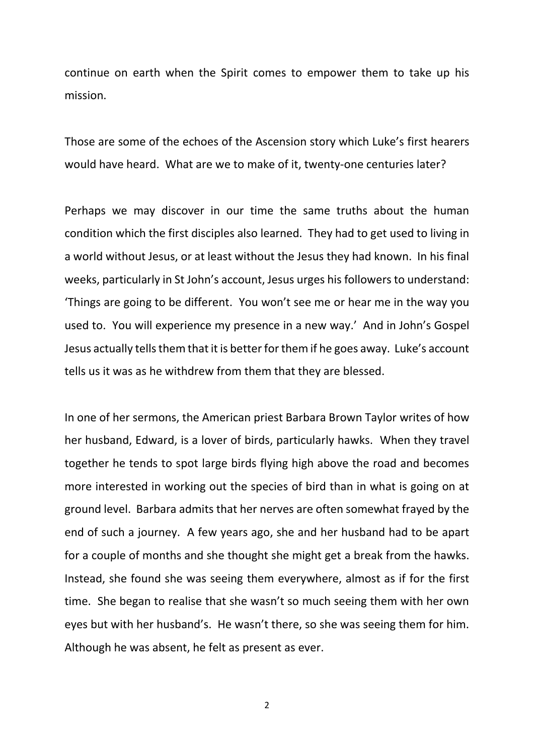continue on earth when the Spirit comes to empower them to take up his mission.

Those are some of the echoes of the Ascension story which Luke's first hearers would have heard. What are we to make of it, twenty-one centuries later?

Perhaps we may discover in our time the same truths about the human condition which the first disciples also learned. They had to get used to living in a world without Jesus, or at least without the Jesus they had known. In his final weeks, particularly in St John's account, Jesus urges his followers to understand: 'Things are going to be different. You won't see me or hear me in the way you used to. You will experience my presence in a new way.' And in John's Gospel Jesus actually tells them that it is better for them if he goes away. Luke's account tells us it was as he withdrew from them that they are blessed.

In one of her sermons, the American priest Barbara Brown Taylor writes of how her husband, Edward, is a lover of birds, particularly hawks. When they travel together he tends to spot large birds flying high above the road and becomes more interested in working out the species of bird than in what is going on at ground level. Barbara admits that her nerves are often somewhat frayed by the end of such a journey. A few years ago, she and her husband had to be apart for a couple of months and she thought she might get a break from the hawks. Instead, she found she was seeing them everywhere, almost as if for the first time. She began to realise that she wasn't so much seeing them with her own eyes but with her husband's. He wasn't there, so she was seeing them for him. Although he was absent, he felt as present as ever.

2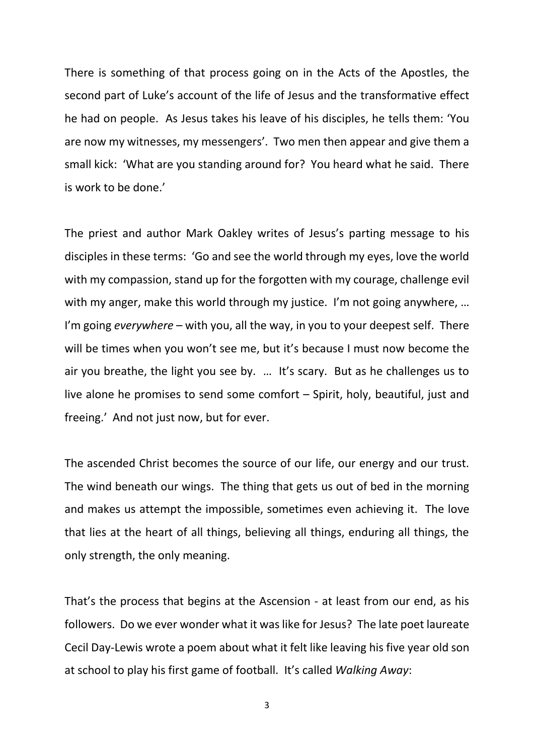There is something of that process going on in the Acts of the Apostles, the second part of Luke's account of the life of Jesus and the transformative effect he had on people. As Jesus takes his leave of his disciples, he tells them: 'You are now my witnesses, my messengers'. Two men then appear and give them a small kick: 'What are you standing around for? You heard what he said. There is work to be done.'

The priest and author Mark Oakley writes of Jesus's parting message to his disciples in these terms: 'Go and see the world through my eyes, love the world with my compassion, stand up for the forgotten with my courage, challenge evil with my anger, make this world through my justice. I'm not going anywhere, ... I'm going *everywhere* – with you, all the way, in you to your deepest self. There will be times when you won't see me, but it's because I must now become the air you breathe, the light you see by. … It's scary. But as he challenges us to live alone he promises to send some comfort – Spirit, holy, beautiful, just and freeing.' And not just now, but for ever.

The ascended Christ becomes the source of our life, our energy and our trust. The wind beneath our wings. The thing that gets us out of bed in the morning and makes us attempt the impossible, sometimes even achieving it. The love that lies at the heart of all things, believing all things, enduring all things, the only strength, the only meaning.

That's the process that begins at the Ascension - at least from our end, as his followers. Do we ever wonder what it was like for Jesus? The late poet laureate Cecil Day-Lewis wrote a poem about what it felt like leaving his five year old son at school to play his first game of football. It's called *Walking Away*:

3